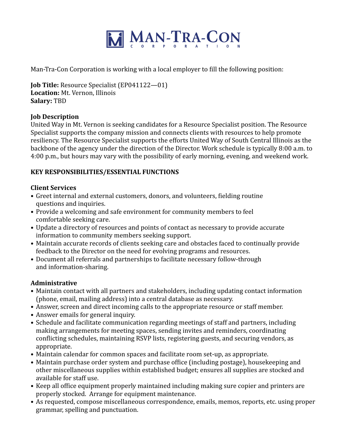

Man-Tra-Con Corporation is working with a local employer to fill the following position:

**Job Title:** Resource Specialist (EP041122—01) **Location:** Mt. Vernon, Illinois **Salary:** TBD

### **Job Description**

United Way in Mt. Vernon is seeking candidates for a Resource Specialist position. The Resource Specialist supports the company mission and connects clients with resources to help promote resiliency. The Resource Specialist supports the efforts United Way of South Central Illinois as the backbone of the agency under the direction of the Director. Work schedule is typically 8:00 a.m. to 4:00 p.m., but hours may vary with the possibility of early morning, evening, and weekend work.

### **KEY RESPONSIBILITIES/ESSENTIAL FUNCTIONS**

### **Client Services**

- Greet internal and external customers, donors, and volunteers, fielding routine questions and inquiries.
- Provide a welcoming and safe environment for community members to feel comfortable seeking care.
- Update a directory of resources and points of contact as necessary to provide accurate information to community members seeking support.
- Maintain accurate records of clients seeking care and obstacles faced to continually provide feedback to the Director on the need for evolving programs and resources.
- Document all referrals and partnerships to facilitate necessary follow-through and information-sharing.

### **Administrative**

- Maintain contact with all partners and stakeholders, including updating contact information (phone, email, mailing address) into a central database as necessary.
- Answer, screen and direct incoming calls to the appropriate resource or staff member.
- Answer emails for general inquiry.
- Schedule and facilitate communication regarding meetings of staff and partners, including making arrangements for meeting spaces, sending invites and reminders, coordinating conflicting schedules, maintaining RSVP lists, registering guests, and securing vendors, as appropriate.
- Maintain calendar for common spaces and facilitate room set-up, as appropriate.
- Maintain purchase order system and purchase office (including postage), housekeeping and other miscellaneous supplies within established budget; ensures all supplies are stocked and available for staff use.
- Keep all office equipment properly maintained including making sure copier and printers are properly stocked. Arrange for equipment maintenance.
- As requested, compose miscellaneous correspondence, emails, memos, reports, etc. using proper grammar, spelling and punctuation.